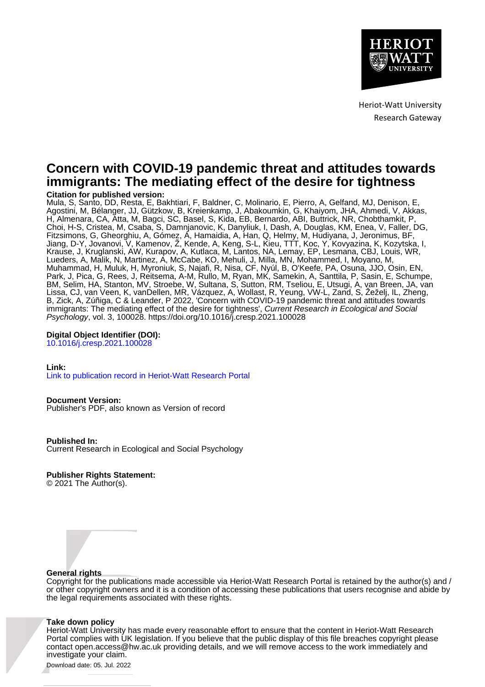

Heriot-Watt University Research Gateway

# **Concern with COVID-19 pandemic threat and attitudes towards immigrants: The mediating effect of the desire for tightness**

# **Citation for published version:**

Mula, S, Santo, DD, Resta, E, Bakhtiari, F, Baldner, C, Molinario, E, Pierro, A, Gelfand, MJ, Denison, E, Agostini, M, Bélanger, JJ, Gützkow, B, Kreienkamp, J, Abakoumkin, G, Khaiyom, JHA, Ahmedi, V, Akkas, H, Almenara, CA, Atta, M, Bagci, SC, Basel, S, Kida, EB, Bernardo, ABI, Buttrick, NR, Chobthamkit, P, Choi, H-S, Cristea, M, Csaba, S, Damnjanovic, K, Danyliuk, I, Dash, A, Douglas, KM, Enea, V, Faller, DG, Fitzsimons, G, Gheorghiu, A, Gómez, Á, Hamaidia, A, Han, Q, Helmy, M, Hudiyana, J, Jeronimus, BF, Jiang, D-Y, Jovanovi, V, Kamenov, Ž, Kende, A, Keng, S-L, Kieu, TTT, Koc, Y, Kovyazina, K, Kozytska, I, Krause, J, Kruglanski, AW, Kurapov, A, Kutlaca, M, Lantos, NA, Lemay, EP, Lesmana, CBJ, Louis, WR, Lueders, A, Malik, N, Martinez, A, McCabe, KO, Mehuli, J, Milla, MN, Mohammed, I, Moyano, M, Muhammad, H, Muluk, H, Myroniuk, S, Najafi, R, Nisa, CF, Nyúl, B, O'Keefe, PA, Osuna, JJO, Osin, EN, Park, J, Pica, G, Rees, J, Reitsema, A-M, Rullo, M, Ryan, MK, Samekin, A, Santtila, P, Sasin, E, Schumpe, BM, Selim, HA, Stanton, MV, Stroebe, W, Sultana, S, Sutton, RM, Tseliou, E, Utsugi, A, van Breen, JA, van Lissa, CJ, van Veen, K, vanDellen, MR, Vázquez, A, Wollast, R, Yeung, VW-L, Zand, S, Žeželj, IL, Zheng, B, Zick, A, Zúñiga, C & Leander, P 2022, 'Concern with COVID-19 pandemic threat and attitudes towards immigrants: The mediating effect of the desire for tightness', Current Research in Ecological and Social Psychology, vol. 3, 100028.<https://doi.org/10.1016/j.cresp.2021.100028>

## **Digital Object Identifier (DOI):**

[10.1016/j.cresp.2021.100028](https://doi.org/10.1016/j.cresp.2021.100028)

## **Link:**

[Link to publication record in Heriot-Watt Research Portal](https://researchportal.hw.ac.uk/en/publications/21075172-2f54-4779-9dbb-3db8aace6cfd)

## **Document Version:**

Publisher's PDF, also known as Version of record

**Published In:** Current Research in Ecological and Social Psychology

# **Publisher Rights Statement:**

© 2021 The Author(s).

# **General rights**

Copyright for the publications made accessible via Heriot-Watt Research Portal is retained by the author(s) and / or other copyright owners and it is a condition of accessing these publications that users recognise and abide by the legal requirements associated with these rights.

## **Take down policy**

Heriot-Watt University has made every reasonable effort to ensure that the content in Heriot-Watt Research Portal complies with UK legislation. If you believe that the public display of this file breaches copyright please contact open.access@hw.ac.uk providing details, and we will remove access to the work immediately and investigate your claim.

Download date: 05. Jul. 2022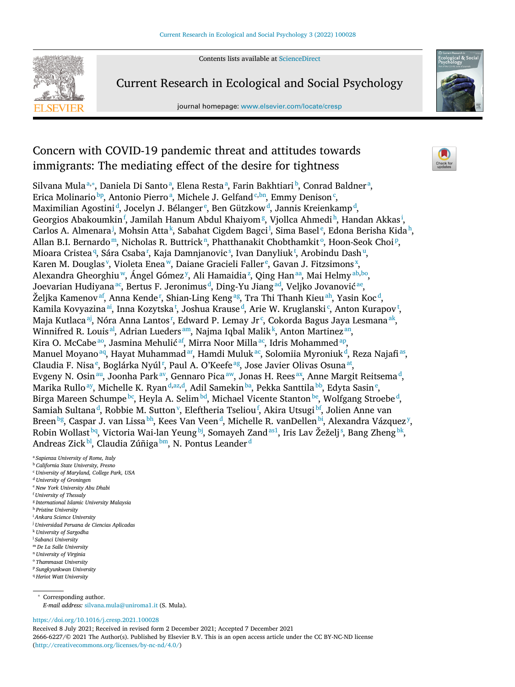Contents lists available at [ScienceDirect](http://www.ScienceDirect.com)



Current Research in Ecological and Social Psychology

journal homepage: [www.elsevier.com/locate/cresp](http://www.elsevier.com/locate/cresp)



# Concern with COVID-19 pandemic threat and attitudes towards immigrants: The mediating effect of the desire for tightness

Silvana Mulaª,\*, Daniela Di Santoª, Elena Restaª, Farin Bakhtiari b, Conrad Baldnerª, Erica Molinario<sup>bp</sup>, Antonio Pierroª, Michele J. Gelfand<sup>c,bn</sup>, Emmy Denison<sup>c</sup>, Maximilian Agostini<sup>d</sup>, Jocelyn J. Bélanger<sup>e</sup>, Ben Gützkow<sup>d</sup>, Jannis Kreienkamp<sup>d</sup>, Georgios Abakoumkin<sup>f</sup>, Jamilah Hanum Abdul Khaiyom<sup>g</sup>, Vjollca Ahmedi<sup>h</sup>, Handan Akkas<sup>i</sup>, Carlos A. Almenara<sup>j</sup>, Mohsin Atta<sup>k</sup>, Sabahat Cigdem Bagci<sup>l</sup>, Sima Basel<sup>e</sup>, Edona Berisha Kida<sup>h</sup>, Allan B.I. Bernardo<sup>m</sup>, Nicholas R. Buttrick<sup>n</sup>, Phatthanakit Chobthamkit<sup>o</sup>, Hoon-Seok Choi<sup>p</sup>, Mioara Cristea<sup>q</sup>[,](#page-2-0) Sára Csaba†, Kaja Damnjanovic§, Ivan Danyliuk<sup>t</sup>, Arobindu Dash<del>"</del>, Karen M. Douglas<sup>[v](#page-2-0)</sup>, Violeta Enea<sup>w</sup>, Daiane Gracieli Faller<sup>e</sup>, Gavan J. Fitzsimons<sup>[x](#page-2-0)</sup>, Alexandra Gheorghiu<sup>w</sup>, Ángel Gómez<sup>[y](#page-2-0)</sup>, Ali Hamaidia<sup>[z](#page-2-0)</sup>, Qing Han<sup>aa</sup>, Mai Helmy<sup>ab,bo</sup>, Joevarian Hudiyana <sup>ac</sup>, Bertus F. Jeronimus <sup>d</sup>, Ding-Yu Jiang <sup>ad</sup>, Veljko Jovanović <sup>ae</sup>, Željka Kamenov $^{\mathrm{af}},$  $^{\mathrm{af}},$  $^{\mathrm{af}},$  Anna Kende†, Shian-Ling Keng $^{\mathrm{ag}},$  Tra Thi Thanh Kieu $^{\mathrm{ah}},$  Yasin Koc $^{\mathrm{d}},$ Kamila Kovyazina $^\text{ai}$  $^\text{ai}$  $^\text{ai}$ [,](#page-2-0) Inna Kozytska†, Joshua Krause $^\text{d}$ , Arie W. Kruglanski¢, Anton Kurapov $^\text{t}$ , Maja Kutlaca $^{\rm aj}$ [,](#page-2-0) Nóra Anna Lantos'', Edward P. Lemay Jr $^{\rm c}$ , Cokorda Bagus Jaya Lesmana $^{\rm ak}$ , Winnifred R. Louis $^{\rm al}$ , Adrian Lueders $^{\rm am}$ , Najma Iqbal Malik $^{\rm k}$ , Anton Martinez $^{\rm an}$ , Kira O. McCabe<sup>ao</sup>, Jasmina Mehulić<sup>af</sup>, Mirra Noor Milla<sup>ac</sup>, Idris Mohammed<sup>ap</sup>, Manuel Moyano $^\text{aq}$ , Hayat Muhammad $^\text{ar}$ , Hamdi Muluk $^\text{ac}$ , Solomiia Myroniuk $^\text{d}$ , Reza Najafi $^\text{as}$ , Claudia F. Nisa<sup>e</sup>[,](#page-2-0) Boglárka Nyúl<sup>r</sup>, Paul A. O'Keefe<sup>ag</sup>, Jose Javier Olivas Osuna<sup>at</sup>, Evgeny N. Osin $^{\mathsf{au}},$  Joonha Park $^{\mathsf{av}},$  Gennaro Pica $^{\mathsf{aw}},$  Jonas H. Rees $^{\mathsf{ax}},$  Anne Margit Reitsema $^{\mathsf{d}},$ Marika Rullo<sup>ay</sup>, Michelle K. Ryan<sup>d[,az,](#page-2-0)d</sup>, Adil Samekin<sup>ba</sup>, Pekka Santtila<sup>bb</sup>, Edyta Sasin<sup>e</sup>, Birga Mareen Schumpe <sup>bc</sup>, Heyla A. Selim <sup>bd</sup>, Michael Vicente Stanton <sup>be</sup>, Wolfgang Stroebe <sup>d</sup>, Samiah Sultana<sup>d</sup>, Robbie M. Sutton<sup>[v](#page-2-0)</sup>, Eleftheria Tseliou<sup>f</sup>, Akira Utsugi<sup>bf</sup>, Jolien Anne van Breen<sup>bg</sup>, Caspar J. van Lissa<sup>bh</sup>, Kees Van Veen<sup>d</sup>, Michelle R. vanDellen<sup>bi</sup>, Alexandra Vázquez<sup>[y](#page-2-0)</sup>, Robin Wolla[s](#page-2-0)t<sup>bq</sup>, Victoria Wai-lan Yeung<sup>bj</sup>, Somayeh Zand<sup>as1</sup>, Iris Lav Žeželj<sup>s</sup>, Bang Zheng<sup>bk</sup>, Andreas Zick [bl,](#page-2-0) Claudia Zúñiga [bm,](#page-2-0) N. Pontus Leander <sup>d</sup>

<sup>a</sup> *Sapienza University of Rome, Italy*

- <sup>b</sup> *California State University, Fresno* <sup>c</sup> *University of Maryland, College Park, USA*
- <sup>d</sup> *University of Groningen*
- <sup>e</sup> *New York University Abu Dhabi*
- <sup>f</sup> *University of Thessaly*
- <sup>g</sup> *International Islamic University Malaysia*
- <sup>h</sup> *Pristine University*
- <sup>i</sup> *Ankara Science University*
- <sup>j</sup> *Universidad Peruana de Ciencias Aplicadas*
- <sup>k</sup> *University of Sargodha*
- <sup>l</sup> *Sabanci University*
- <sup>m</sup> *De La Salle University*
- <sup>n</sup> *University of Virginia*
- <sup>o</sup> *Thammasat University*
- <sup>p</sup> *Sungkyunkwan University*
- <sup>q</sup> *Heriot Watt University*

<sup>∗</sup> Corresponding author.

*E-mail address:* [silvana.mula@uniroma1.it](mailto:silvana.mula@uniroma1.it) (S. Mula).

<https://doi.org/10.1016/j.cresp.2021.100028>

Received 8 July 2021; Received in revised form 2 December 2021; Accepted 7 December 2021 2666-6227/© 2021 The Author(s). Published by Elsevier B.V. This is an open access article under the CC BY-NC-ND license [\(http://creativecommons.org/licenses/by-nc-nd/4.0/\)](http://creativecommons.org/licenses/by-nc-nd/4.0/)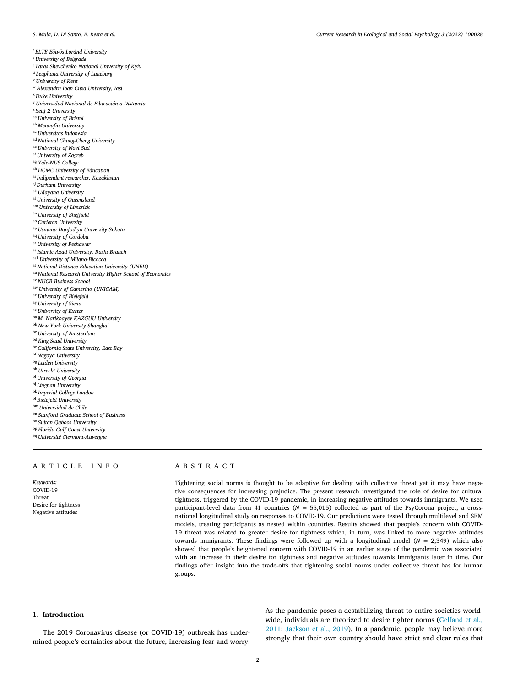<span id="page-2-0"></span><sup>r</sup> *ELTE Eötvös Loránd University*

- <sup>s</sup> *University of Belgrade*
- <sup>t</sup> *Taras Shevchenko National University of Kyiv*
- <sup>u</sup> *Leuphana University of Luneburg*
- <sup>v</sup> *University of Kent*
- <sup>w</sup> *Alexandru Ioan Cuza University, Iasi*
- <sup>x</sup> *Duke University*
- <sup>y</sup> *Universidad Nacional de Educación a Distancia*
- <sup>z</sup> *Setif 2 University*
- aa *University of Bristol*
- ab *Menoufia University*
- ac *Universitas Indonesia*
- ad *National Chung-Cheng University*
- ae *University of Novi Sad*
- af *University of Zagreb*
- ag *Yale-NUS College*
- ah *HCMC University of Education*
- ai *Indipendent researcher, Kazakhstan*
- aj *Durham University*
- ak *Udayana University*
- al *University of Queensland*
- am *University of Limerick*
- an *University of Sheffield*
- ao *Carleton University*
- 
- ap *Usmanu Danfodiyo University Sokoto* aq *University of Cordoba*
- ar *University of Peshawar*
- as *Islamic Azad University, Rasht Branch*
- as1 *University of Milano-Bicocca*
- at *National Distance Education University (UNED)*
- au *National Research University Higher School of Economics*
- av *NUCB Business School*
- aw *University of Camerino (UNICAM)*
- ax *University of Bielefeld*
- ay *University of Siena*
- az *University of Exeter*
- ba *M. Narikbayev KAZGUU University*
- bb *New York University Shanghai*
- bc *University of Amsterdam*
- bd *King Saud University*
- be *California State University, East Bay*
- bf *Nagoya University*
- bg *Leiden University*
- bh *Utrecht University*
- bi *University of Georgia*
- bj *Lingnan University*
- bk *Imperial College London*
- bl *Bielefeld University*
- bm *Universidad de Chile*
- bn *Stanford Graduate School of Business*
- bo *Sultan Qaboos University*
- bp *Florida Gulf Coast University*
- bq *Université Clermont-Auvergne*

#### a r t i c l e i n f o

*Keywords:* COVID-19 Threat Desire for tightness Negative attitudes

### a b s t r a c t

Tightening social norms is thought to be adaptive for dealing with collective threat yet it may have negative consequences for increasing prejudice. The present research investigated the role of desire for cultural tightness, triggered by the COVID-19 pandemic, in increasing negative attitudes towards immigrants. We used participant-level data from 41 countries (*N* = 55,015) collected as part of the PsyCorona project, a crossnational longitudinal study on responses to COVID-19. Our predictions were tested through multilevel and SEM models, treating participants as nested within countries. Results showed that people's concern with COVID-19 threat was related to greater desire for tightness which, in turn, was linked to more negative attitudes towards immigrants. These findings were followed up with a longitudinal model (*N* = 2,349) which also showed that people's heightened concern with COVID-19 in an earlier stage of the pandemic was associated with an increase in their desire for tightness and negative attitudes towards immigrants later in time. Our findings offer insight into the trade-offs that tightening social norms under collective threat has for human groups.

### **1. Introduction**

The 2019 Coronavirus disease (or COVID-19) outbreak has undermined people's certainties about the future, increasing fear and worry.

As the pandemic poses a destabilizing threat to entire societies worldwide, [individuals](#page-7-0) are theorized to desire tighter norms (Gelfand et al., 2011; [Jackson](#page-8-0) et al., 2019). In a pandemic, people may believe more strongly that their own country should have strict and clear rules that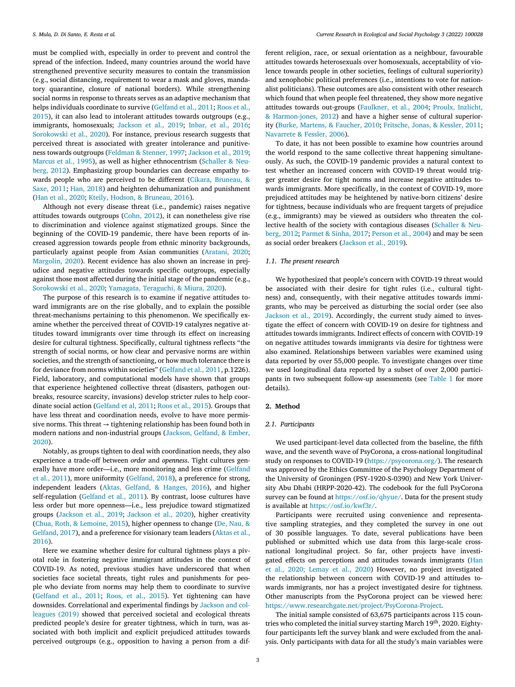must be complied with, especially in order to prevent and control the spread of the infection. Indeed, many countries around the world have strengthened preventive security measures to contain the transmission (e.g., social distancing, requirement to wear a mask and gloves, mandatory quarantine, closure of national borders). While strengthening social norms in response to threats serves as an adaptive mechanism that helps [individuals](#page-8-0) coordinate to survive [\(Gelfand](#page-7-0) et al., 2011; Roos et al., 2015), it can also lead to intolerant attitudes towards outgroups (e.g., immigrants, homosexuals; [Jackson](#page-8-0) et al., 2019; [Inbar,](#page-8-0) et al., 2016; [Sorokowski](#page-8-0) et al., 2020). For instance, previous research suggests that perceived threat is associated with greater intolerance and punitiveness towards outgroups [\(Feldman](#page-7-0) & Stenner, 1997; [Jackson](#page-8-0) et al., 2019; [Marcus](#page-8-0) et al., 1995), as well as higher [ethnocentrism](#page-8-0) (Schaller & Neuberg, 2012). Emphasizing group boundaries can decrease empathy towards people who are perceived to be different (Cikara, Bruneau, & Saxe, 2011; Han, [2018\)](#page-8-0) and heighten [dehumanization](#page-7-0) and punishment (Han et al., [2020;](#page-8-0) Kteily, Hodson, & [Bruneau,](#page-8-0) 2016).

Although not every disease threat (i.e., pandemic) raises negative attitudes towards outgroups [\(Cohn,](#page-7-0) 2012), it can nonetheless give rise to discrimination and violence against stigmatized groups. Since the beginning of the COVID-19 pandemic, there have been reports of increased aggression towards people from ethnic minority backgrounds, particularly against people from Asian communities [\(Aratani,](#page-7-0) 2020; [Margolin,](#page-8-0) 2020). Recent evidence has also shown an increase in prejudice and negative attitudes towards specific outgroups, especially against those most affected during the initial stage of the pandemic (e.g., [Sorokowski](#page-8-0) et al., 2020; Yamagata, [Teraguchi,](#page-8-0) & Miura, 2020).

The purpose of this research is to examine if negative attitudes toward immigrants are on the rise globally, and to explain the possible threat-mechanisms pertaining to this phenomenon. We specifically examine whether the perceived threat of COVID-19 catalyzes negative attitudes toward immigrants over time through its effect on increasing desire for cultural tightness. Specifically, cultural tightness reflects "the strength of social norms, or how clear and pervasive norms are within societies, and the strength of sanctioning, or how much tolerance there is for deviance from norms within societies" [\(Gelfand](#page-7-0) et al., 2011, p.1226). Field, laboratory, and computational models have shown that groups that experience heightened collective threat (disasters, pathogen outbreaks, resource scarcity, invasions) develop stricter rules to help coordinate social action [\(Gelfand](#page-7-0) et al, 2011; Roos et al., [2015\)](#page-8-0). Groups that have less threat and coordination needs, evolve to have more permissive norms. This threat  $\rightarrow$  tightening relationship has been found both in modern nations and [non-industrial](#page-8-0) groups (Jackson, Gelfand, & Ember, 2020).

Notably, as groups tighten to deal with coordination needs, they also experience a trade-off between *order* and *openness*. Tight cultures generally have more [order—i.e.,](#page-7-0) more monitoring and less crime (Gelfand et al., 2011), more uniformity [\(Gelfand,](#page-7-0) 2018), a preference for strong, independent leaders (Aktas, [Gelfand,](#page-7-0) & Hanges, 2016), and higher self-regulation [\(Gelfand](#page-7-0) et al., 2011). By contrast, loose cultures have less order but more openness—i.e., less prejudice toward stigmatized groups [\(Jackson](#page-8-0) et al., 2019; [Jackson](#page-8-0) et al., 2020), higher creativity (Chua, Roth, & [Lemoine,](#page-7-0) 2015), higher openness to change (De, Nau, & Gelfand, 2017), and a [preference](#page-7-0) for visionary team leaders (Aktas et al., 2016).

Here we examine whether desire for cultural tightness plays a pivotal role in fostering negative immigrant attitudes in the context of COVID-19. As noted, previous studies have underscored that when societies face societal threats, tight rules and punishments for people who deviate from norms may help them to coordinate to survive [\(Gelfand](#page-7-0) et al., 2011; [Roos,](#page-8-0) et al., 2015). Yet tightening can have downsides. [Correlational](#page-8-0) and experimental findings by Jackson and colleagues (2019) showed that perceived societal and ecological threats predicted people's desire for greater tightness, which in turn, was associated with both implicit and explicit prejudiced attitudes towards perceived outgroups (e.g., opposition to having a person from a dif-

ferent religion, race, or sexual orientation as a neighbour, favourable attitudes towards heterosexuals over homosexuals, acceptability of violence towards people in other societies, feelings of cultural superiority) and xenophobic political preferences (i.e., intentions to vote for nationalist politicians). These outcomes are also consistent with other research which found that when people feel threatened, they show more negative attitudes towards out-groups [\(Faulkner,](#page-7-0) et al., 2004; Proulx, Inzlicht, & [Harmon-jones,](#page-8-0) 2012) and have a higher sense of cultural superiority (Burke, [Martens,](#page-7-0) & Faucher, 2010; [Fritsche,](#page-7-0) Jonas, & Kessler, 2011; [Navarrete](#page-8-0) & Fessler, 2006).

To date, it has not been possible to examine how countries around the world respond to the same collective threat happening simultaneously. As such, the COVID-19 pandemic provides a natural context to test whether an increased concern with COVID-19 threat would trigger greater desire for tight norms and increase negative attitudes towards immigrants. More specifically, in the context of COVID-19, more prejudiced attitudes may be heightened by native-born citizens' desire for tightness, because individuals who are frequent targets of prejudice (e.g., immigrants) may be viewed as outsiders who threaten the collective health of the society with [contagious](#page-8-0) diseases (Schaller & Neuberg, 2012; [Parmet](#page-8-0) & Sinha, 2017; [Person](#page-8-0) et al., 2004) and may be seen as social order breakers [\(Jackson](#page-8-0) et al., 2019).

#### *1.1. The present research*

We hypothesized that people's concern with COVID-19 threat would be associated with their desire for tight rules (i.e., cultural tightness) and, consequently, with their negative attitudes towards immigrants, who may be perceived as disturbing the social order (see also [Jackson](#page-8-0) et al., 2019). Accordingly, the current study aimed to investigate the effect of concern with COVID-19 on desire for tightness and attitudes towards immigrants. Indirect effects of concern with COVID-19 on negative attitudes towards immigrants via desire for tightness were also examined. Relationships between variables were examined using data reported by over 55,000 people. To investigate changes over time we used longitudinal data reported by a subset of over 2,000 participants in two subsequent follow-up assessments (see [Table](#page-4-0) 1 for more details).

#### **2. Method**

#### *2.1. Participants*

We used participant-level data collected from the baseline, the fifth wave, and the seventh wave of PsyCorona, a cross-national longitudinal study on responses to COVID-19 [\(https://psycorona.org/\)](https://psycorona.org/). The research was approved by the Ethics Committee of the Psychology Department of the University of Groningen (PSY-1920-S-0390) and New York University Abu Dhabi (HRPP-2020-42). The codebook for the full PsyCorona survey can be found at [https://osf.io/qhyue/.](https://osf.io/qhyue/) Data for the present study is available at [https://osf.io/kwf3r/.](https://osf.io/kwf3r/)

Participants were recruited using convenience and representative sampling strategies, and they completed the survey in one out of 30 possible languages. To date, several publications have been published or submitted which use data from this large-scale crossnational longitudinal project. So far, other projects have investigated effects on perceptions and attitudes towards immigrants (Han et al., 2020; Lemay et al., 2020) However, no project [investigated](#page-8-0) the relationship between concern with COVID-19 and attitudes towards immigrants, nor has a project investigated desire for tightness. Other manuscripts from the PsyCorona project can be viewed here: [https://www.researchgate.net/project/PsyCorona-Project.](https://www.researchgate.net/project/PsyCorona-Project)

The initial sample consisted of 63,675 participants across 115 countries who completed the initial survey starting March 19<sup>th</sup>, 2020. Eightyfour participants left the survey blank and were excluded from the analysis. Only participants with data for all the study's main variables were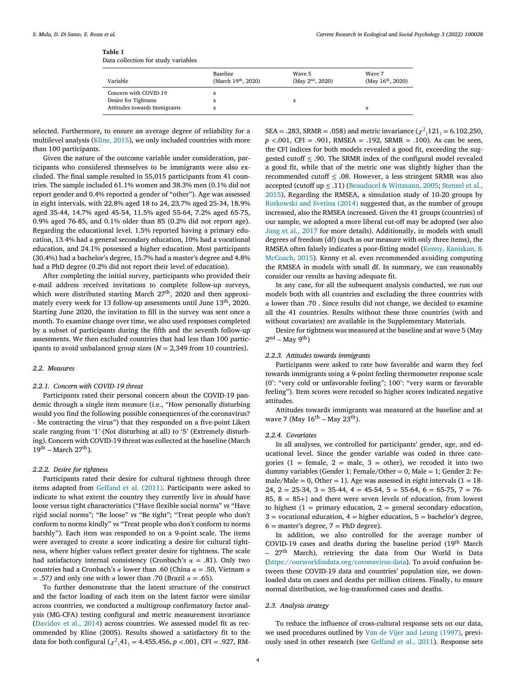#### <span id="page-4-0"></span>**Table 1**

Data collection for study variables

| Variable                     | Baseline<br>(March 19 <sup>th</sup> , 2020) | Wave 5<br>(May $2nd$ , 2020) | Wave 7<br>(May $16^{th}$ , 2020) |
|------------------------------|---------------------------------------------|------------------------------|----------------------------------|
| Concern with COVID-19        |                                             |                              |                                  |
| Desire for Tightness         |                                             | x                            |                                  |
| Attitudes towards Immigrants |                                             |                              | X                                |

selected. Furthermore, to ensure an average degree of reliability for a multilevel analysis [\(Kline,](#page-8-0) 2015), we only included countries with more than 100 participants.

Given the nature of the outcome variable under consideration, participants who considered themselves to be immigrants were also excluded. The final sample resulted in 55,015 participants from 41 countries. The sample included 61.1% women and 38.3% men (0.1% did not report gender and 0.4% reported a gender of "other"). Age was assessed in eight intervals, with 22.8% aged 18 to 24, 23.7% aged 25-34, 18.9% aged 35-44, 14.7% aged 45-54, 11.5% aged 55-64, 7.2% aged 65-75, 0.9% aged 76-85, and 0.1% older than 85 (0.2% did not report age). Regarding the educational level, 1.5% reported having a primary education, 13.4% had a general secondary education, 10% had a vocational education, and 24.1% possessed a higher education. Most participants (30.4%) had a bachelor's degree, 15.7% had a master's degree and 4.8% had a PhD degree (0.2% did not report their level of education).

After completing the initial survey, participants who provided their e-mail address received invitations to complete follow-up surveys, which were distributed starting March 27<sup>th</sup>, 2020 and then approximately every week for 13 follow-up assessments until June 13<sup>th</sup>, 2020. Starting June 2020, the invitation to fill in the survey was sent once a month. To examine change over time, we also used responses completed by a subset of participants during the fifth and the seventh follow-up assessments. We then excluded countries that had less than 100 participants to avoid unbalanced group sizes (*N* = 2,349 from 10 countries).

#### *2.2. Measures*

#### *2.2.1. Concern with COVID-19 threat*

Participants rated their personal concern about the COVID-19 pandemic through a single item measure (i.e., "How personally disturbing would you find the following possible consequences of the coronavirus? - Me contracting the virus") that they responded on a five-point Likert scale ranging from '1' (Not disturbing at all) to '5' (Extremely disturbing). Concern with COVID-19 threat was collected at the baseline (March  $19^{\text{th}}$  – March  $27^{\text{th}}$ ).

#### *2.2.2. Desire for tightness*

Participants rated their desire for cultural tightness through three items adapted from [Gelfand](#page-7-0) et al. (2011). Participants were asked to indicate to what extent the country they currently live in *should* have loose versus tight characteristics ("Have flexible social norms" *vs* "Have rigid social norms"; "Be loose" *vs* "Be tight"; "Treat people who don't conform to norms kindly" *vs* "Treat people who don't conform to norms harshly"). Each item was responded to on a 9-point scale. The items were averaged to create a score indicating a desire for cultural tightness, where higher values reflect greater desire for tightness. The scale had satisfactory internal consistency (Cronbach's  $\alpha = .81$ ). Only two countries had a Cronbach's  $\alpha$  lower than .60 (China  $\alpha = .50$ , Vietnam  $\alpha$ = .57) and only one with  $\alpha$  lower than .70 (Brazil  $\alpha$  = .65).

To further demonstrate that the latent structure of the construct and the factor loading of each item on the latent factor were similar across countries, we conducted a multigroup confirmatory factor analysis (MG-CFA) testing configural and metric measurement invariance [\(Davidov](#page-7-0) et al., 2014) across countries. We assessed model fit as recommended by Kline (2005). Results showed a satisfactory fit to the data for both configural ( $\chi^2$ <sub>)</sub> $41$ <sub>)</sub> = 4.455.456, *p* <.001, CFI = .927, RM-

SEA = .283, SRMR = .058) and metric invariance  $(\chi^2)$  121<sub>)</sub> = 6.102.250, *p <*.001, CFI = .901, RMSEA = .192, SRMR = .100). As can be seen, the CFI indices for both models revealed a good fit, exceeding the suggested cutoff  $\leq$  .90. The SRMR index of the configural model revealed a good fit, while that of the metric one was slightly higher than the recommended cutoff  $\leq$  .08. However, a less stringent SRMR was also accepted (cutoff up ≤ .11) [\(](#page-8-0)[Beauducel](#page-7-0) & Wittmann, 2005; Stenzel et al., 2015). Regarding the RMSEA, a simulation study of 10-20 groups by [Rutkowski](#page-8-0) and Svetina (2014) suggested that, as the number of groups increased, also the RMSEA increased. Given the 41 groups (countries) of our sample, we adopted a more liberal cut-off may be adopted (see also Jang et al., [2017](#page-8-0) for more details). Additionally, in models with small degrees of freedom (df) (such as our measure with only three items), the RMSEA often falsely indicates a poor-fitting model (Kenny, Kaniskan, & McCoach, 2015). Kenny et al. even [recommended](#page-8-0) avoiding computing the RMSEA in models with small df. In summary, we can reasonably consider our results as having adequate fit.

In any case, for all the subsequent analysis conducted, we run our models both with all countries and excluding the three countries with  $\alpha$  lower than .70 . Since results did not change, we decided to examine all the 41 countries. Results without these three countries (with and without covariates) are available in the Supplementary Materials.

Desire for tightness was measured at the baseline and at wave 5 (May  $2<sup>nd</sup>$  – May 9<sup>th</sup>)

#### *2.2.3. Attitudes towards immigrants*

Participants were asked to rate how favorable and warm they feel towards immigrants using a 9-point feeling thermometer response scale (0°: "very cold or unfavorable feeling"; 100°: "very warm or favorable feeling"). Item scores were recoded so higher scores indicated negative attitudes.

Attitudes towards immigrants was measured at the baseline and at wave 7 (May  $16^{th}$  – May  $23^{th}$ ).

#### *2.2.4. Covariates*

In all analyses, we controlled for participants' gender, age, and educational level. Since the gender variable was coded in three categories (1 = female, 2 = male, 3 = other), we recoded it into two dummy variables (Gender 1: Female/Other = 0, Male = 1; Gender 2: Female/Male = 0, Other = 1). Age was assessed in eight intervals  $(1 = 18 - 1)$  $24, 2 = 25-34, 3 = 35-44, 4 = 45-54, 5 = 55-64, 6 = 65-75, 7 = 76-75$  $85, 8 = 85+$ ) and there were seven levels of education, from lowest to highest  $(1 = \text{primary education}, 2 = \text{general secondary education},$  $3 =$  vocational education,  $4 =$  higher education,  $5 =$  bachelor's degree,  $6 =$  master's degree,  $7 =$  PhD degree).

In addition, we also controlled for the average number of COVID-19 cases and deaths during the baseline period (19<sup>th</sup> March – 27th March), retrieving the data from Our World in Data [\(https://ourworldindata.org/coronavirus-data\)](https://ourworldindata.org/coronavirus-data). To avoid confusion between these COVID-19 data and countries' population size, we downloaded data on cases and deaths per million citizens. Finally, to ensure normal distribution, we log-transformed cases and deaths.

#### *2.3. Analysis strategy*

To reduce the influence of cross-cultural response sets on our data, we used procedures outlined by Van de Vijer and Leung [\(1997\),](#page-8-0) previously used in other research (see [Gelfand](#page-7-0) et al., 2011). Response sets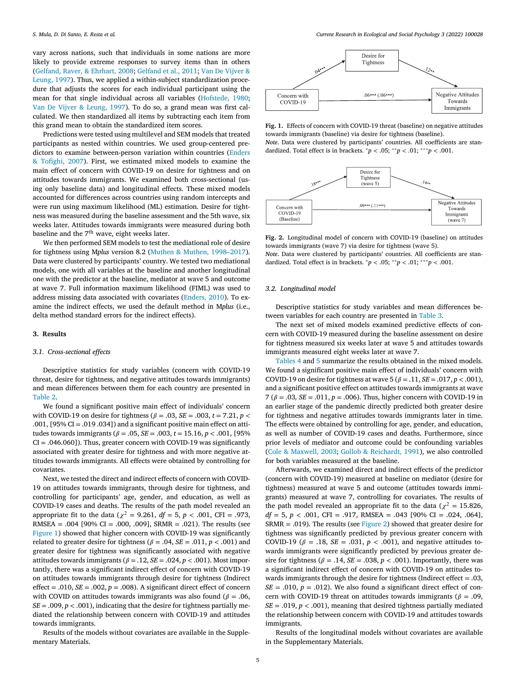vary across nations, such that individuals in some nations are more likely to provide extreme responses to survey items than in others [\(Gelfand,](#page-7-0) Raver, & Ehrhart, 2008; [Gelfand](#page-7-0) et al., 2011; Van De Vijver & Leung, 1997). Thus, we applied a within-subject [standardization](#page-8-0) procedure that adjusts the scores for each individual participant using the mean for that single individual across all variables [\(Hofstede,](#page-8-0) 1980; Van De Vijver & [Leung,](#page-8-0) 1997). To do so, a grand mean was first calculated. We then standardized all items by subtracting each item from this grand mean to obtain the standardized item scores.

Predictions were tested using multilevel and SEM models that treated participants as nested within countries. We used group-centered predictors to examine [between-person](#page-7-0) variation within countries (Enders & Tofighi, 2007). First, we estimated mixed models to examine the main effect of concern with COVID-19 on desire for tightness and on attitudes towards immigrants. We examined both cross-sectional (using only baseline data) and longitudinal effects. These mixed models accounted for differences across countries using random intercepts and were run using maximum likelihood (ML) estimation. Desire for tightness was measured during the baseline assessment and the 5th wave, six weeks later. Attitudes towards immigrants were measured during both baseline and the  $7<sup>th</sup>$  wave, eight weeks later.

We then performed SEM models to test the mediational role of desire for tightness using M*plus* version 8.2 (Muthen & Muthen, [1998–2017\)](#page-8-0). Data were clustered by participants' country. We tested two mediational models, one with all variables at the baseline and another longitudinal one with the predictor at the baseline, mediator at wave 5 and outcome at wave 7. Full information maximum likelihood (FIML) was used to address missing data associated with covariates [\(Enders,](#page-7-0) 2010). To examine the indirect effects, we used the default method in M*plus* (i.e., delta method standard errors for the indirect effects).

#### **3. Results**

#### *3.1. Cross-sectional effects*

Descriptive statistics for study variables (concern with COVID-19 threat, desire for tightness, and negative attitudes towards immigrants) and mean differences between them for each country are presented in [Table](#page-6-0) 2.

We found a significant positive main effect of individuals' concern with COVID-19 on desire for tightness ( $\beta$  = .03, *SE* = .003, *t* = 7.21, *p* < .001, [95% CI = .019 .034]) and a significant positive main effect on attitudes towards immigrants ( $\beta = .05$ ,  $SE = .003$ ,  $t = 15.16$ ,  $p < .001$ , [95%  $CI = .046.060$ ]). Thus, greater concern with COVID-19 was significantly associated with greater desire for tightness and with more negative attitudes towards immigrants. All effects were obtained by controlling for covariates.

Next, we tested the direct and indirect effects of concern with COVID-19 on attitudes towards immigrants, through desire for tightness, and controlling for participants' age, gender, and education, as well as COVID-19 cases and deaths. The results of the path model revealed an appropriate fit to the data ( $\chi^2$  = 9.261, *df* = 5, *p* < .001, CFI = .973, RMSEA =  $.004$  [90% CI =  $.000$ ,  $.009$ ], SRMR =  $.021$ ). The results (see Figure 1) showed that higher concern with COVID-19 was significantly related to greater desire for tightness ( $\beta$  = .04, *SE* = .011, *p* < .001) and greater desire for tightness was significantly associated with negative attitudes towards immigrants ( $\beta = .12$ ,  $SE = .024$ ,  $p < .001$ ). Most importantly, there was a significant indirect effect of concern with COVID-19 on attitudes towards immigrants through desire for tightness (Indirect effect = .010,  $SE = .002$ ,  $p = .008$ ). A significant direct effect of concern with COVID on attitudes towards immigrants was also found ( $\beta = .06$ ,  $SE = .009$ ,  $p < .001$ ), indicating that the desire for tightness partially mediated the relationship between concern with COVID-19 and attitudes towards immigrants.

Results of the models without covariates are available in the Supplementary Materials.



**Fig. 1.** Effects of concern with COVID-19 threat (baseline) on negative attitudes towards immigrants (baseline) via desire for tightness (baseline).

*Note*. Data were clustered by participants' countries. All coefficients are standardized. Total effect is in brackets.  $^{*}p < .05; ^{**}p < .01; ^{***}p < .001$ .



**Fig. 2.** Longitudinal model of concern with COVID-19 (baseline) on attitudes towards immigrants (wave 7) via desire for tightness (wave 5).

*Note*. Data were clustered by participants' countries. All coefficients are standardized. Total effect is in brackets. <sup>∗</sup>*p <* .05; ∗∗*p <* .01; ∗∗∗*p <* .001.

#### *3.2. Longitudinal model*

Descriptive statistics for study variables and mean differences between variables for each country are presented in [Table](#page-6-0) 3.

The next set of mixed models examined predictive effects of concern with COVID-19 measured during the baseline assessment on desire for tightness measured six weeks later at wave 5 and attitudes towards immigrants measured eight weeks later at wave 7.

[Tables](#page-6-0) 4 and [5](#page-7-0) summarize the results obtained in the mixed models. We found a significant positive main effect of individuals' concern with COVID-19 on desire for tightness at wave  $5 (\beta = .11, SE = .017, p < .001)$ , and a significant positive effect on attitudes towards immigrants at wave 7 ( $\beta$  = .03, *SE* = .011,  $p$  = .006). Thus, higher concern with COVID-19 in an earlier stage of the pandemic directly predicted both greater desire for tightness and negative attitudes towards immigrants later in time. The effects were obtained by controlling for age, gender, and education, as well as number of COVID-19 cases and deaths. Furthermore, since prior levels of mediator and outcome could be confounding variables (Cole & [Maxwell,](#page-7-0) 2003; Gollob & [Reichardt,](#page-8-0) 1991), we also controlled for both variables measured at the baseline.

Afterwards, we examined direct and indirect effects of the predictor (concern with COVID-19) measured at baseline on mediator (desire for tightness) measured at wave 5 and outcome (attitudes towards immigrants) measured at wave 7, controlling for covariates. The results of the path model revealed an appropriate fit to the data ( $\chi^2 = 15.826$ , *df* = 5, *p <* .001, CFI = .917, RMSEA = .043 [90% CI = .024, .064],  $SRMR = .019$ ). The results (see Figure 2) showed that greater desire for tightness was significantly predicted by previous greater concern with COVID-19 ( $\beta$  = .18, *SE* = .031,  $p < .001$ ), and negative attitudes towards immigrants were significantly predicted by previous greater desire for tightness ( $\beta = .14$ ,  $SE = .038$ ,  $p < .001$ ). Importantly, there was a significant indirect effect of concern with COVID-19 on attitudes towards immigrants through the desire for tightness (Indirect effect = .03,  $SE = .010$ ,  $p = .012$ ). We also found a significant direct effect of concern with COVID-19 threat on attitudes towards immigrants ( $\beta = .09$ ,  $SE = .019$ ,  $p < .001$ ), meaning that desired tightness partially mediated the relationship between concern with COVID-19 and attitudes towards immigrants.

Results of the longitudinal models without covariates are available in the Supplementary Materials.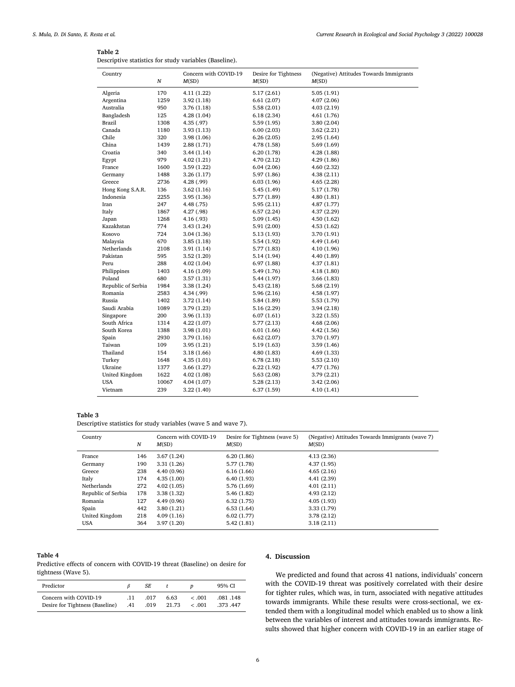#### <span id="page-6-0"></span>**Table 2**

Descriptive statistics for study variables (Baseline).

| Country<br>N       |       | Concern with COVID-19<br>M(SD) | Desire for Tightness<br>M(SD) | (Negative) Attitudes Towards Immigrants<br>M(SD) |  |
|--------------------|-------|--------------------------------|-------------------------------|--------------------------------------------------|--|
| Algeria            | 170   | 4.11 (1.22)                    | 5.17(2.61)                    | 5.05(1.91)                                       |  |
| Argentina          | 1259  | 3.92(1.18)                     | 6.61(2.07)                    | 4.07 (2.06)                                      |  |
| Australia          | 950   | 3.76 (1.18)                    | 5.58 (2.01)                   | 4.03 (2.19)                                      |  |
| Bangladesh         | 125   | 4.28(1.04)                     | 6.18(2.34)                    | 4.61 (1.76)                                      |  |
| <b>Brazil</b>      | 1308  | 4.35 (.97)                     | 5.59(1.95)                    | 3.80 (2.04)                                      |  |
| Canada             | 1180  | 3.93 (1.13)                    | 6.00(2.03)                    | 3.62 (2.21)                                      |  |
| Chile              | 320   | 3.98 (1.06)                    | 6.26(2.05)                    | 2.95 (1.64)                                      |  |
| China              | 1439  | 2.88(1.71)                     | 4.78 (1.58)                   | 5.69 (1.69)                                      |  |
| Croatia            | 340   | 3.44 (1.14)                    | 6.20(1.78)                    | 4.28 (1.88)                                      |  |
| Egypt              | 979   | 4.02(1.21)                     | 4.70(2.12)                    | 4.29 (1.86)                                      |  |
| France             | 1600  | 3.59 (1.22)                    | 6.04(2.06)                    | 4.60 (2.32)                                      |  |
| Germany            | 1488  | 3.26 (1.17)                    | 5.97(1.86)                    | 4.38(2.11)                                       |  |
| Greece             | 2736  | 4.28 (.99)                     | 6.03(1.96)                    | 4.65 (2.28)                                      |  |
| Hong Kong S.A.R.   | 136   | 3.62 (1.16)                    | 5.45(1.49)                    | 5.17 (1.78)                                      |  |
| Indonesia          | 2255  | 3.95 (1.36)                    | 5.77 (1.89)                   | 4.80 (1.81)                                      |  |
| Iran               | 247   | 4.48 (.75)                     | 5.95(2.11)                    | 4.87 (1.77)                                      |  |
| Italy              | 1867  | 4.27 (.98)                     | 6.57(2.24)                    | 4.37 (2.29)                                      |  |
| Japan              | 1268  | 4.16 (.93)                     | 5.09(1.45)                    | 4.50 (1.62)                                      |  |
| Kazakhstan         | 774   | 3.43 (1.24)                    | 5.91 (2.00)                   | 4.53 (1.62)                                      |  |
| Kosovo             | 724   | 3.04 (1.36)                    | 5.13 (1.93)                   | 3.70 (1.91)                                      |  |
| Malaysia           | 670   | 3.85 (1.18)                    | 5.54 (1.92)                   | 4.49 (1.64)                                      |  |
| Netherlands        | 2108  | 3.91 (1.14)                    | 5.77 (1.83)                   | 4.10 (1.96)                                      |  |
| Pakistan           | 595   | 3.52 (1.20)                    | 5.14 (1.94)                   | 4.40 (1.89)                                      |  |
| Peru               | 288   | 4.02 (1.04)                    | 6.97(1.88)                    | 4.37 (1.81)                                      |  |
| Philippines        | 1403  | 4.16 (1.09)                    | 5.49 (1.76)                   | 4.18 (1.80)                                      |  |
| Poland             | 680   | 3.57 (1.31)                    | 5.44 (1.97)                   | 3.66 (1.83)                                      |  |
| Republic of Serbia | 1984  | 3.38 (1.24)                    | 5.43(2.18)                    | 5.68 (2.19)                                      |  |
| Romania            | 2583  | 4.34 (.99)                     | 5.96(2.16)                    | 4.58 (1.97)                                      |  |
| Russia             | 1402  | 3.72 (1.14)                    | 5.84 (1.89)                   | 5.53 (1.79)                                      |  |
| Saudi Arabia       | 1089  | 3.79 (1.23)                    | 5.16 (2.29)                   | 3.94 (2.18)                                      |  |
| Singapore          | 200   | 3.96 (1.13)                    | 6.07(1.61)                    | 3.22 (1.55)                                      |  |
| South Africa       | 1314  | 4.22 (1.07)                    | 5.77(2.13)                    | 4.68 (2.06)                                      |  |
| South Korea        | 1388  | 3.98 (1.01)                    | 6.01(1.66)                    | 4.42 (1.56)                                      |  |
| Spain              | 2930  | 3.79 (1.16)                    | 6.62(2.07)                    | 3.70 (1.97)                                      |  |
| Taiwan             | 109   | 3.95 (1.21)                    | 5.19(1.63)                    | 3.59 (1.46)                                      |  |
| Thailand           | 154   | 3.18 (1.66)                    | 4.80(1.83)                    | 4.69 (1.33)                                      |  |
| Turkey             | 1648  | 4.35 (1.01)                    | 6.78(2.18)                    | 5.53 (2.10)                                      |  |
| Ukraine            | 1377  | 3.66 (1.27)                    | 6.22(1.92)                    | 4.77 (1.76)                                      |  |
| United Kingdom     | 1622  | 4.02 (1.08)                    | 5.63(2.08)                    | 3.79 (2.21)                                      |  |
| <b>USA</b>         | 10067 | 4.04 (1.07)                    | 5.28(2.13)                    | 3.42 (2.06)                                      |  |
| Vietnam            | 239   | 3.22(1.40)                     | 6.37(1.59)                    | 4.10 (1.41)                                      |  |

#### **Table 3**

Descriptive statistics for study variables (wave 5 and wave 7).

| Country            | N   | Concern with COVID-19<br>M(SD) | Desire for Tightness (wave 5)<br>M(SD) | (Negative) Attitudes Towards Immigrants (wave 7)<br>M(SD) |
|--------------------|-----|--------------------------------|----------------------------------------|-----------------------------------------------------------|
| France             | 146 | 3.67(1.24)                     | 6.20(1.86)                             | 4.13(2.36)                                                |
| Germany            | 190 | 3.31(1.26)                     | 5.77 (1.78)                            | 4.37(1.95)                                                |
| Greece             | 238 | 4.40(0.96)                     | 6.16(1.66)                             | 4.65(2.16)                                                |
| Italy              | 174 | 4.35(1.00)                     | 6.40(1.93)                             | 4.41(2.39)                                                |
| Netherlands        | 272 | 4.02(1.05)                     | 5.76 (1.69)                            | 4.01(2.11)                                                |
| Republic of Serbia | 178 | 3.38(1.32)                     | 5.46 (1.82)                            | 4.93(2.12)                                                |
| Romania            | 127 | 4.49 (0.96)                    | 6.32(1.75)                             | 4.05(1.93)                                                |
| Spain              | 442 | 3.80(1.21)                     | 6.53(1.64)                             | 3.33(1.79)                                                |
| United Kingdom     | 218 | 4.09(1.16)                     | 6.02(1.77)                             | 3.78(2.12)                                                |
| USA                | 364 | 3.97(1.20)                     | 5.42(1.81)                             | 3.18(2.11)                                                |
|                    |     |                                |                                        |                                                           |

#### **Table 4**

Predictive effects of concern with COVID-19 threat (Baseline) on desire for tightness (Wave 5).

| Predictor                                                |            | SE   |                            |        | 95% CI               |
|----------------------------------------------------------|------------|------|----------------------------|--------|----------------------|
| Concern with COVID-19<br>Desire for Tightness (Baseline) | .11<br>.41 | .017 | 6.63<br>$.019$ 21.73 < 001 | < 0.01 | .081.148<br>.373.447 |

#### **4. Discussion**

We predicted and found that across 41 nations, individuals' concern with the COVID-19 threat was positively correlated with their desire for tighter rules, which was, in turn, associated with negative attitudes towards immigrants. While these results were cross-sectional, we extended them with a longitudinal model which enabled us to show a link between the variables of interest and attitudes towards immigrants. Results showed that higher concern with COVID-19 in an earlier stage of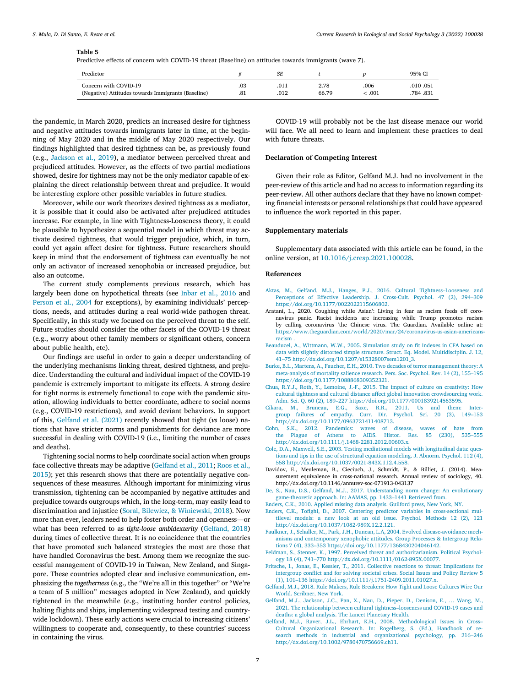#### <span id="page-7-0"></span>**Table 5**

Predictive effects of concern with COVID-19 threat (Baseline) on attitudes towards immigrants (wave 7).

| Predictor                                          |     | SЕ   |       |        | 95% CI    |
|----------------------------------------------------|-----|------|-------|--------|-----------|
| Concern with COVID-19                              | .03 | .011 | 2.78  | .006   | .010 .051 |
| (Negative) Attitudes towards Immigrants (Baseline) | .81 | .012 | 66.79 | 001. ج | .784.831  |

the pandemic, in March 2020, predicts an increased desire for tightness and negative attitudes towards immigrants later in time, at the beginning of May 2020 and in the middle of May 2020 respectively. Our findings highlighted that desired tightness can be, as previously found (e.g., [Jackson](#page-8-0) et al., 2019), a mediator between perceived threat and prejudiced attitudes. However, as the effects of two partial mediations showed, desire for tightness may not be the only mediator capable of explaining the direct relationship between threat and prejudice. It would be interesting explore other possible variables in future studies.

Moreover, while our work theorizes desired tightness as a mediator, it is possible that it could also be activated after prejudiced attitudes increase. For example, in line with Tightness-Looseness theory, it could be plausible to hypothesize a sequential model in which threat may activate desired tightness, that would trigger prejudice, which, in turn, could yet again affect desire for tightness. Future researchers should keep in mind that the endorsement of tightness can eventually be not only an activator of increased xenophobia or increased prejudice, but also an outcome.

The current study complements previous research, which has largely been done on hypothetical threats (see [Inbar](#page-8-0) et al., 2016 and [Person](#page-8-0) et al., 2004 for exceptions), by examining individuals' perceptions, needs, and attitudes during a real world-wide pathogen threat. Specifically, in this study we focused on the perceived threat to the self. Future studies should consider the other facets of the COVID-19 threat (e.g., worry about other family members or significant others, concern about public health, etc).

Our findings are useful in order to gain a deeper understanding of the underlying mechanisms linking threat, desired tightness, and prejudice. Understanding the cultural and individual impact of the COVID-19 pandemic is extremely important to mitigate its effects. A strong desire for tight norms is extremely functional to cope with the pandemic situation, allowing individuals to better coordinate, adhere to social norms (e.g., COVID-19 restrictions), and avoid deviant behaviors. In support of this, Gelfand et al. (2021) recently showed that tight (*vs* loose) nations that have stricter norms and punishments for deviance are more successful in dealing with COVID-19 (i.e., limiting the number of cases and deaths).

Tightening social norms to help coordinate social action when groups face collective threats may be adaptive (Gelfand et al., 2011; Roos et al., 2015); yet this research shows that there are [potentially](#page-8-0) negative consequences of these measures. Although important for minimizing virus transmission, tightening can be accompanied by negative attitudes and prejudice towards outgroups which, in the long-term, may easily lead to discrimination and injustice (Soral, Bilewicz, & [Winiewski,](#page-8-0) 2018). Now more than ever, leaders need to help foster both order and openness—or what has been referred to as *tight-loose ambidexterity* (Gelfand, 2018) during times of collective threat. It is no coincidence that the countries that have promoted such balanced strategies the most are those that have handled Coronavirus the best. Among them we recognize the successful management of COVID-19 in Taiwan, New Zealand, and Singapore. These countries adopted clear and inclusive communication, emphasizing the *togetherness* (e.g., the "We're all in this together" or "We're a team of 5 million" messages adopted in New Zealand), and quickly tightened in the meanwhile (e.g., instituting border control policies, halting flights and ships, implementing widespread testing and countrywide lockdown). These early actions were crucial to increasing citizens' willingness to cooperate and, consequently, to these countries' success in containing the virus.

COVID-19 will probably not be the last disease menace our world will face. We all need to learn and implement these practices to deal with future threats.

#### **Declaration of Competing Interest**

Given their role as Editor, Gelfand M.J. had no involvement in the peer-review of this article and had no access to information regarding its peer-review. All other authors declare that they have no known competing financial interests or personal relationships that could have appeared to influence the work reported in this paper.

#### **Supplementary materials**

Supplementary data associated with this article can be found, in the online version, at [10.1016/j.cresp.2021.100028.](https://doi.org/10.1016/j.cresp.2021.100028)

#### **References**

- [Aktas,](http://refhub.elsevier.com/S2666-6227(21)00021-6/sbref0001) M., [Gelfand,](http://refhub.elsevier.com/S2666-6227(21)00021-6/sbref0001) M.J., [Hanges,](http://refhub.elsevier.com/S2666-6227(21)00021-6/sbref0001) P.J., 2016. Cultural Tightness–Looseness and Perceptions of Effective Leadership. J. Cross-Cult. Psychol. 47 (2), 294–309 [https://doi.org/10.1177/0022022115606802.](http://refhub.elsevier.com/S2666-6227(21)00021-6/sbref0001)
- Aratani, L., 2020. Coughing while Asian': Living in fear as racism feeds off coronavirus panic. Racist incidents are increasing while Trump promotes racism by calling coronavirus 'the Chinese virus. The Guardian. Available online at: [https://www.theguardian.com/world/2020/mar/24/coronavirus-us-asian-americans](https://www.theguardian.com/world/2020/mar/24/coronavirus-us-asian-americans-racism)racism .
- [Beauducel,](http://refhub.elsevier.com/S2666-6227(21)00021-6/sbref0003) A., [Wittmann,](http://refhub.elsevier.com/S2666-6227(21)00021-6/sbref0003) W.W., 2005. Simulation study on fit indexes in CFA based on data with slightly distorted simple structure. Struct. Eq. Model. Multidisciplin. J. 12. 41–75 [http://dx.doi.org/10.1207/s15328007sem1201\\_3.](http://refhub.elsevier.com/S2666-6227(21)00021-6/sbref0003)
- [Burke,](http://refhub.elsevier.com/S2666-6227(21)00021-6/sbref0004) B.L., [Martens,](http://refhub.elsevier.com/S2666-6227(21)00021-6/sbref0004) A., [Faucher,](http://refhub.elsevier.com/S2666-6227(21)00021-6/sbref0004) E.H., 2010. Two decades of terror management theory: A meta-analysis of mortality salience research. Pers. Soc. Psychol. Rev. 14 (2), 155–195 [https://doi.org/10.1177/1088868309352321.](http://refhub.elsevier.com/S2666-6227(21)00021-6/sbref0004)
- Chua, [R.Y.J.,](http://refhub.elsevier.com/S2666-6227(21)00021-6/sbref0005) [Roth,](http://refhub.elsevier.com/S2666-6227(21)00021-6/sbref0005) Y., [Lemoine,](http://refhub.elsevier.com/S2666-6227(21)00021-6/sbref0005) J.-F., 2015. The impact of culture on creativity: How cultural tightness and cultural distance affect global innovation crowdsourcing work. Adm. Sci. Q. 60 (2), 189–227 [https://doi.org/10.1177/0001839214563595.](http://refhub.elsevier.com/S2666-6227(21)00021-6/sbref0005)<br>Cikara M. Bruneau E.G. Saxe R.R. 2011 Is and them:
- [Bruneau,](http://refhub.elsevier.com/S2666-6227(21)00021-6/sbref0006) E.G., [Saxe,](http://refhub.elsevier.com/S2666-6227(21)00021-6/sbref0006) R.R., 2011. Us and them: Intergroup failures of empathy. Curr. Dir. Psychol. Sci. 20 (3), 149–153 [http://dx.doi.org/10.1177/0963721411408713.](http://refhub.elsevier.com/S2666-6227(21)00021-6/sbref0006)
- [Cohn,](http://refhub.elsevier.com/S2666-6227(21)00021-6/sbref0007) S.K., 2012. Pandemics: waves of disease, waves of hate from the Plague of Athens to AIDS. [http://dx.doi.org/10.1111/j.1468-2281.2012.00603.x.](http://refhub.elsevier.com/S2666-6227(21)00021-6/sbref0007)
- [Cole,](http://refhub.elsevier.com/S2666-6227(21)00021-6/sbref0008) D.A., [Maxwell,](http://refhub.elsevier.com/S2666-6227(21)00021-6/sbref0008) S.E., 2003. Testing mediational models with longitudinal data: questions and tips in the use of structural equation modeling. J. Abnorm. Psychol. 112 (4), 558 [http://dx.doi.org/10.1037/0021-843X.112.4.558.](http://refhub.elsevier.com/S2666-6227(21)00021-6/sbref0008)
- Davidov, E., Meuleman, B., Cieciuch, J., Schmidt, P., & Billiet, J. (2014). Measurement equivalence in cross-national research. Annual review of sociology, 40. http://dx.doi.org/10.1146/annurev-soc-071913-043137
- [De,](http://refhub.elsevier.com/S2666-6227(21)00021-6/sbref0010) S., [Nau,](http://refhub.elsevier.com/S2666-6227(21)00021-6/sbref0010) D.S., [Gelfand,](http://refhub.elsevier.com/S2666-6227(21)00021-6/sbref0010) M.J., 2017. Understanding norm change: An evolutionary [game-theoretic](http://refhub.elsevier.com/S2666-6227(21)00021-6/sbref0010) approach. In: AAMAS, pp. 1433–1441 Retrieved from.

[Enders,](http://refhub.elsevier.com/S2666-6227(21)00021-6/sbref0011) C.K., 2010. Applied missing data [analysis.](http://refhub.elsevier.com/S2666-6227(21)00021-6/sbref0011) Guilford press, New York, NY.

- [Enders,](http://refhub.elsevier.com/S2666-6227(21)00021-6/sbref0012) C.K., [Tofighi,](http://refhub.elsevier.com/S2666-6227(21)00021-6/sbref0012) D., 2007. Centering predictor variables in cross-sectional multilevel models: a new look at an old issue. Psychol. Methods 12 (2), 121 [http://dx.doi.org/10.1037/1082-989X.12.2.121.](http://refhub.elsevier.com/S2666-6227(21)00021-6/sbref0012)
- [Faulkner,](http://refhub.elsevier.com/S2666-6227(21)00021-6/sbref0013) J., [Schaller,](http://refhub.elsevier.com/S2666-6227(21)00021-6/sbref0013) M., [Park,](http://refhub.elsevier.com/S2666-6227(21)00021-6/sbref0013) J.H., [Duncan,](http://refhub.elsevier.com/S2666-6227(21)00021-6/sbref0013) L.A, 2004. Evolved disease-avoidance mechanisms and contemporary xenophobic attitudes. Group Processes & Intergroup Relations 7 (4), 333–353 [https://doi.org/10.1177/1368430204046142.](http://refhub.elsevier.com/S2666-6227(21)00021-6/sbref0013)
- [Feldman,](http://refhub.elsevier.com/S2666-6227(21)00021-6/sbref0014) S., [Stenner,](http://refhub.elsevier.com/S2666-6227(21)00021-6/sbref0014) K., 1997. Perceived threat and authoritarianism. Political Psychology 18 (4), 741–770 [http://dx.doi.org/10.1111/0162-895X.00077.](http://refhub.elsevier.com/S2666-6227(21)00021-6/sbref0014)
- [Fritsche,](http://refhub.elsevier.com/S2666-6227(21)00021-6/sbref0015) I., [Jonas,](http://refhub.elsevier.com/S2666-6227(21)00021-6/sbref0015) E., [Kessler,](http://refhub.elsevier.com/S2666-6227(21)00021-6/sbref0015) T., 2011. Collective reactions to threat: Implications for intergroup conflict and for solving societal crises. Social Issues and Policy Review 5 (1), 101–136 [https://doi.org/10.1111/j.1751-2409.2011.01027.x.](http://refhub.elsevier.com/S2666-6227(21)00021-6/sbref0015)
- [Gelfand,](http://refhub.elsevier.com/S2666-6227(21)00021-6/sbref0016) M.J., 2018. Rule Makers, Rule Breakers: How Tight and Loose Cultures Wire Our World. Scribner, New York.
- [Gelfand,](http://refhub.elsevier.com/S2666-6227(21)00021-6/sbref0017) M.J., [Jackson,](http://refhub.elsevier.com/S2666-6227(21)00021-6/sbref0017) J.C., [Pan,](http://refhub.elsevier.com/S2666-6227(21)00021-6/sbref0017) X., [Nau,](http://refhub.elsevier.com/S2666-6227(21)00021-6/sbref0017) D., [Pieper,](http://refhub.elsevier.com/S2666-6227(21)00021-6/sbref0017) D., [Denison,](http://refhub.elsevier.com/S2666-6227(21)00021-6/sbref0017) E., [… Wang,](http://refhub.elsevier.com/S2666-6227(21)00021-6/sbref0017) M., 2021. The relationship between cultural [tightness–looseness](http://refhub.elsevier.com/S2666-6227(21)00021-6/sbref0017) and COVID-19 cases and deaths: a global analysis. The Lancet Planetary Health.
- [Gelfand,](http://refhub.elsevier.com/S2666-6227(21)00021-6/sbref0018) M.J., [Raver,](http://refhub.elsevier.com/S2666-6227(21)00021-6/sbref0018) J.L., [Ehrhart,](http://refhub.elsevier.com/S2666-6227(21)00021-6/sbref0018) K.H., 2008. Methodological Issues in Cross– Cultural Organizational Research. In: Rogelberg, S. (Ed.), Handbook of research methods in industrial and organizational psychology, pp. 216–246 [http://dx.doi.org/10.1002/9780470756669.ch11.](http://refhub.elsevier.com/S2666-6227(21)00021-6/sbref0018)